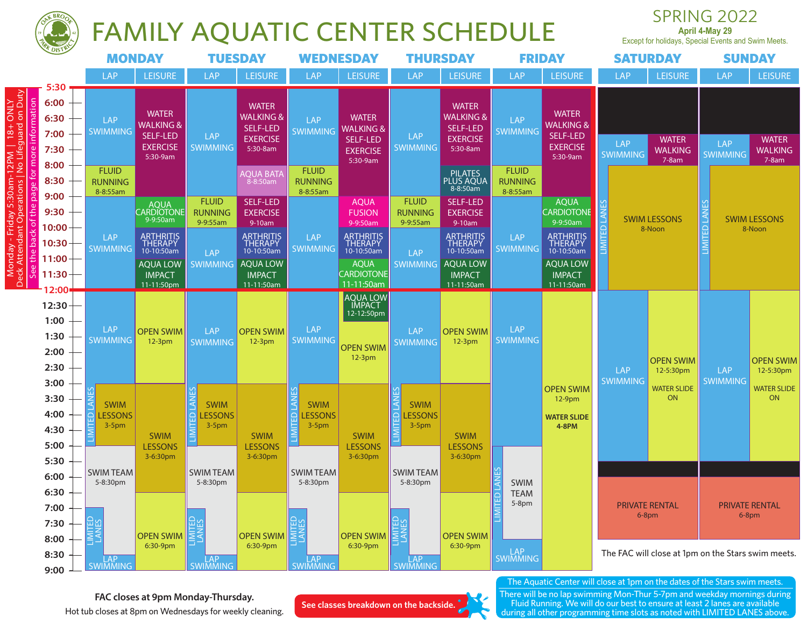

## FAMILY AQUATIC CENTER SCHEDULE

SPRING 2022 **April 4-May 29**

Except for holidays, Special Events and Swim Meets.

|                                                                                                                                            | <b>UF DISTRY</b>                              | <b>MONDAY</b>                                           |                                                                                             | <b>TUESDAY</b>                                                                |                                                                                        | <b>WEDNESDAY</b>                                                  |                                                                                             | <b>THURSDAY</b>                                                    |                                                                                             |                                        | <b>FRIDAY</b>                                                                               |                               | <b>SATURDAY</b>                                    |                               | <b>SUNDAY</b>                             |
|--------------------------------------------------------------------------------------------------------------------------------------------|-----------------------------------------------|---------------------------------------------------------|---------------------------------------------------------------------------------------------|-------------------------------------------------------------------------------|----------------------------------------------------------------------------------------|-------------------------------------------------------------------|---------------------------------------------------------------------------------------------|--------------------------------------------------------------------|---------------------------------------------------------------------------------------------|----------------------------------------|---------------------------------------------------------------------------------------------|-------------------------------|----------------------------------------------------|-------------------------------|-------------------------------------------|
|                                                                                                                                            |                                               | LAP                                                     | <b>LEISURE</b>                                                                              | LAP                                                                           | <b>LEISURE</b>                                                                         | <b>LAP</b>                                                        | <b>LEISURE</b>                                                                              | LAP                                                                | <b>LEISURE</b>                                                                              | LAP                                    | <b>LEISURE</b>                                                                              | <b>LAP</b>                    | <b>LEISURE</b>                                     | LAP                           | <b>LEISURE</b>                            |
| Monday - Friday 5:30am-12PM   18+ ONLY<br>cck Attendant Operations   No Lifeguard on Duty<br>See the back of the page for more information | 5:30<br>6:00<br>6:30<br>7:00<br>7:30<br>8:00  | <b>LAP</b><br><b>SWIMMING</b><br><b>FLUID</b>           | <b>WATER</b><br><b>WALKING &amp;</b><br>SELF-LED<br><b>EXERCISE</b><br>5:30-9am             | LAP<br>SWIMMING                                                               | <b>WATER</b><br><b>WALKING &amp;</b><br><b>SELF-LED</b><br><b>EXERCISE</b><br>5:30-8am | <b>LAP</b><br><b>SWIMMING</b><br><b>FLUID</b>                     | <b>WATER</b><br><b>WALKING &amp;</b><br>SELF-LED<br><b>EXERCISE</b><br>5:30-9am             | <b>LAP</b><br><b>SWIMMING</b>                                      | <b>WATER</b><br><b>WALKING &amp;</b><br><b>SELF-LED</b><br><b>EXERCISE</b><br>5:30-8am      | LAP<br><b>SWIMMING</b><br><b>FLUID</b> | <b>WATER</b><br><b>WALKING &amp;</b><br>SELF-LED<br><b>EXERCISE</b><br>5:30-9am             | <b>LAP</b><br><b>SWIMMING</b> | <b>WATER</b><br><b>WALKING</b><br>$7-8am$          | <b>LAP</b><br><b>SWIMMING</b> | <b>WATER</b><br><b>WALKING</b><br>$7-8am$ |
|                                                                                                                                            | 8:30                                          | <b>RUNNING</b><br>8-8:55am                              |                                                                                             |                                                                               | <b>AQUA BATA</b><br>$8 - 8:50$ am                                                      | <b>RUNNING</b><br>8-8:55am                                        |                                                                                             |                                                                    | PILATES<br>PLUS AQUA<br>8-8:50am                                                            | <b>RUNNING</b><br>8-8:55am             |                                                                                             |                               |                                                    |                               |                                           |
|                                                                                                                                            | 9:00<br>9:30<br>10:00                         |                                                         | AQUA<br>CARDIOTONE<br>9-9:50am                                                              | <b>FLUID</b><br><b>RUNNING</b><br>9-9:55am                                    | <b>SELF-LED</b><br><b>EXERCISE</b><br>9-10am                                           |                                                                   | <b>AQUA</b><br><b>FUSION</b><br>9-9:50am                                                    | <b>FLUID</b><br><b>RUNNING</b><br>9-9:55am                         | <b>SELF-LED</b><br><b>EXERCISE</b><br>9-10am                                                |                                        | <b>AQUA</b><br><b>CARDIOTONE</b><br>9-9:50am                                                | <b>LANES</b>                  | <b>SWIM LESSONS</b><br>8-Noon                      | LANE <sup>®</sup>             | <b>SWIM LESSONS</b><br>8-Noon             |
| <b>Deck</b>                                                                                                                                | 10:30<br>11:00<br>11:30                       | <b>LAP</b><br><b>SWIMMING</b>                           | <b>ARTHRITIS</b><br>THERAPY<br>10-10:50am<br><b>AQUA LOW</b><br><b>IMPACT</b><br>11-11:50pm | <b>LAP</b><br><b>SWIMMING</b>                                                 | ARTHRITIS<br>THERAPY<br>10-10:50am<br><b>AQUA LOW</b><br><b>IMPACT</b><br>11-11:50am   | <b>LAP</b><br><b>SWIMMING</b>                                     | <b>ARTHRITIS</b><br>THERAPY<br>10-10:50am<br><b>AQUA</b><br><b>CARDIOTONE</b><br>11-11:50am | LAP<br>SWIMMING                                                    | <b>ARTHRITIS</b><br>THERAPY<br>10-10:50am<br><b>AQUA LOW</b><br><b>IMPACT</b><br>11-11:50am | <b>LAP</b><br><b>SWIMMING</b>          | <b>ARTHRITIS</b><br>THERAPY<br>10-10:50am<br><b>AQUA LOW</b><br><b>IMPACT</b><br>11-11:50am | <b>IMITED</b>                 |                                                    | LIMITED                       |                                           |
|                                                                                                                                            | 2:00<br>12:30<br>1:00<br>1:30<br>2:00<br>2:30 | <b>LAP</b><br>SWIMMING                                  | <b>OPEN SWIM</b><br>$12-3pm$                                                                | <b>LAP</b><br><b>SWIMMING</b>                                                 | <b>OPEN SWIM</b><br>$12-3pm$                                                           | <b>LAP</b><br><b>SWIMMING</b>                                     | <b>AQUA LOW</b><br><b>IMPACT</b><br>12-12:50pm<br><b>OPEN SWIM</b><br>$12-3pm$              | <b>LAP</b><br><b>SWIMMING</b>                                      | <b>OPEN SWIM</b><br>$12-3pm$                                                                | LAP<br><b>SWIMMING</b>                 |                                                                                             | <b>LAP</b><br><b>SWIMMING</b> | <b>OPEN SWIM</b><br>12-5:30pm                      | LAP<br><b>SWIMMING</b>        | <b>OPEN SWIM</b><br>12-5:30pm             |
|                                                                                                                                            | 3:00<br>3:30<br>4:00<br>4:30<br>5:00          | 3<br>S<br><b>SWIM</b><br>읍<br><b>ESSONS</b><br>$3-5$ pm | <b>SWIM</b><br><b>LESSONS</b><br>3-6:30pm                                                   | <b>LANES</b><br><b>SWIM</b><br>$\Omega$<br><b>ESSONS</b><br>$3-5$ pm<br>LIMIT | <b>SWIM</b><br><b>LESSONS</b><br>3-6:30pm                                              | 岡<br><b>SWIM</b><br><b>ESSONS</b><br>읪<br>$3-5$ pm<br><b>IMIL</b> | <b>SWIM</b><br><b>LESSONS</b><br>3-6:30pm                                                   | <b>RENT</b><br><b>SWIM</b><br><b>ESSONS</b><br>$\circ$<br>$3-5$ pm | <b>SWIM</b><br><b>LESSONS</b><br>3-6:30pm                                                   |                                        | <b>OPEN SWIM</b><br>$12-9pm$<br><b>WATER SLIDE</b><br>4-8PM                                 |                               | <b>WATER SLIDE</b><br><b>ON</b>                    |                               | <b>WATER SLIDE</b><br>ON                  |
|                                                                                                                                            | 5:30<br>6:00<br>6:30<br>7:00<br>7:30          | <b>SWIMTEAM</b><br>5-8:30pm                             | <b>OPEN SWIM</b>                                                                            | <b>SWIMTEAM</b><br>5-8:30pm                                                   |                                                                                        | <b>SWIMTEAM</b><br>5-8:30pm                                       |                                                                                             | <b>SWIMTEAM</b><br>5-8:30pm                                        |                                                                                             | <b>SWIM</b><br><b>TEAM</b><br>$5-8pm$  |                                                                                             |                               | <b>PRIVATE RENTAL</b><br>$6-8$ pm                  |                               | <b>PRIVATE RENTAL</b><br>$6-8$ pm         |
|                                                                                                                                            | 8:00<br>8:30<br>9:00                          | LAP<br>SWIMMING                                         | 6:30-9pm                                                                                    | LAP<br>SWIMMING                                                               | <b>OPEN SWIM</b><br>6:30-9pm                                                           | LAP<br>SWIMMING                                                   | <b>OPEN SWIM</b><br>6:30-9pm                                                                | LAP<br>SWIMMING                                                    | <b>OPEN SWIM</b><br>6:30-9pm                                                                | LAP<br>SWIMMING                        | The Aquatic Center will close at 1pm on the dates of the Stars swim meets                   |                               | The FAC will close at 1pm on the Stars swim meets. |                               |                                           |

**FAC closes at 9pm Monday-Thursday.** Hot tub closes at 8pm on Wednesdays for weekly cleaning.

**See classes breakdown on the backside.**

The Aquatic Center will close at 1pm on the dates of the Stars swim meets. There will be no lap swimming Mon-Thur 5-7pm and weekday mornings during Fluid Running. We will do our best to ensure at least 2 lanes are available

during all other programming time slots as noted with LIMITED LANES above.